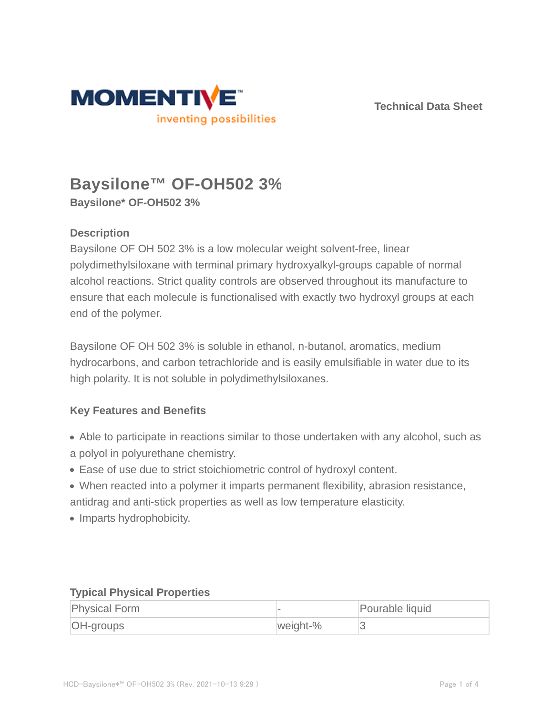

**Technical Data Sheet**

# **Baysilone™ OF-OH502 3% Baysilone\* OF-OH502 3%**

# **Description**

Baysilone OF OH 502 3% is a low molecular weight solvent-free, linear polydimethylsiloxane with terminal primary hydroxyalkyl-groups capable of normal alcohol reactions. Strict quality controls are observed throughout its manufacture to ensure that each molecule is functionalised with exactly two hydroxyl groups at each end of the polymer.

Baysilone OF OH 502 3% is soluble in ethanol, n-butanol, aromatics, medium hydrocarbons, and carbon tetrachloride and is easily emulsifiable in water due to its high polarity. It is not soluble in polydimethylsiloxanes.

# **Key Features and Benefits**

- Able to participate in reactions similar to those undertaken with any alcohol, such as a polyol in polyurethane chemistry.
- Ease of use due to strict stoichiometric control of hydroxyl content.
- When reacted into a polymer it imparts permanent flexibility, abrasion resistance, antidrag and anti-stick properties as well as low temperature elasticity.
- Imparts hydrophobicity.

### **Typical Physical Properties**

| <b>Physical Form</b> |          | Pourable liquid |
|----------------------|----------|-----------------|
| <b>OH-groups</b>     | weight-% |                 |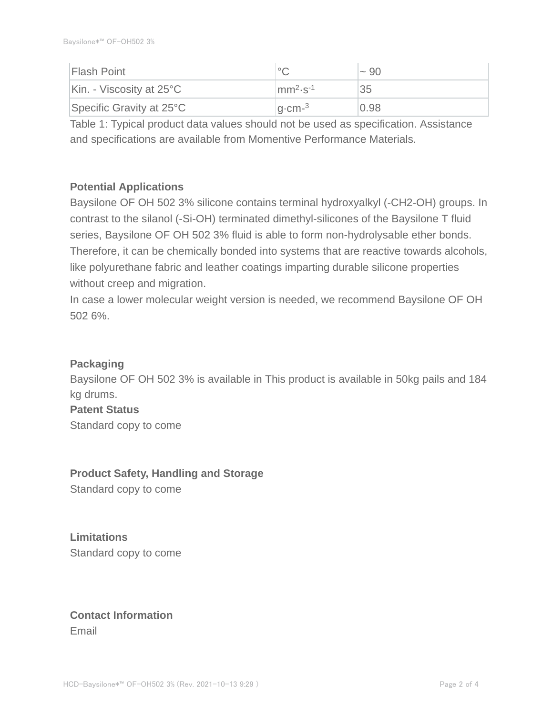| <b>Flash Point</b>                 |                                  | $~1$ 90 |
|------------------------------------|----------------------------------|---------|
| Kin. - Viscosity at $25^{\circ}$ C | $\text{mm}^{2}$ -s <sup>-1</sup> | 35      |
| Specific Gravity at $25^{\circ}$ C | $ q$ -cm- $^3$                   | 0.98    |

Table 1: Typical product data values should not be used as specification. Assistance and specifications are available from Momentive Performance Materials.

### **Potential Applications**

Baysilone OF OH 502 3% silicone contains terminal hydroxyalkyl (-CH2-OH) groups. In contrast to the silanol (-Si-OH) terminated dimethyl-silicones of the Baysilone T fluid series, Baysilone OF OH 502 3% fluid is able to form non-hydrolysable ether bonds. Therefore, it can be chemically bonded into systems that are reactive towards alcohols, like polyurethane fabric and leather coatings imparting durable silicone properties without creep and migration.

In case a lower molecular weight version is needed, we recommend Baysilone OF OH 502 6%.

### **Packaging**

Baysilone OF OH 502 3% is available in This product is available in 50kg pails and 184 kg drums.

# **Patent Status** Standard copy to come

**Product Safety, Handling and Storage**

Standard copy to come

**Limitations** Standard copy to come

# **Contact Information** Email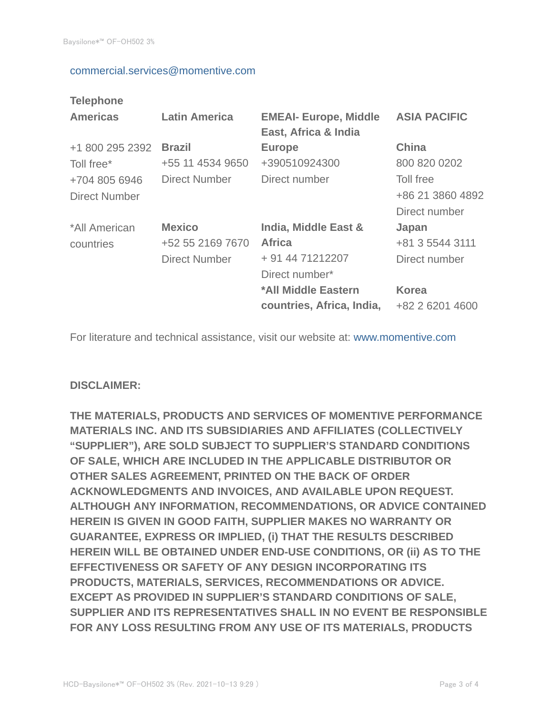#### commercial.services@momentive.com

### **Telephone**

| <b>Americas</b>                | <b>Latin America</b>                                      | <b>EMEAI- Europe, Middle</b><br>East, Africa & India                                                                            | <b>ASIA PACIFIC</b>                                                          |
|--------------------------------|-----------------------------------------------------------|---------------------------------------------------------------------------------------------------------------------------------|------------------------------------------------------------------------------|
| +1 800 295 2392<br>Toll free*  | <b>Brazil</b><br>+55 11 4534 9650                         | <b>Europe</b><br>+390510924300                                                                                                  | <b>China</b><br>800 820 0202                                                 |
| +704 805 6946<br>Direct Number | <b>Direct Number</b>                                      | Direct number                                                                                                                   | Toll free<br>+86 21 3860 4892<br>Direct number                               |
| *All American<br>countries     | <b>Mexico</b><br>+52 55 2169 7670<br><b>Direct Number</b> | India, Middle East &<br><b>Africa</b><br>+ 91 44 71212207<br>Direct number*<br>*All Middle Eastern<br>countries, Africa, India, | Japan<br>+81 3 5544 3111<br>Direct number<br><b>Korea</b><br>+82 2 6201 4600 |

For literature and technical assistance, visit our website at: www.momentive.com

### **DISCLAIMER:**

**THE MATERIALS, PRODUCTS AND SERVICES OF MOMENTIVE PERFORMANCE MATERIALS INC. AND ITS SUBSIDIARIES AND AFFILIATES (COLLECTIVELY "SUPPLIER"), ARE SOLD SUBJECT TO SUPPLIER'S STANDARD CONDITIONS OF SALE, WHICH ARE INCLUDED IN THE APPLICABLE DISTRIBUTOR OR OTHER SALES AGREEMENT, PRINTED ON THE BACK OF ORDER ACKNOWLEDGMENTS AND INVOICES, AND AVAILABLE UPON REQUEST. ALTHOUGH ANY INFORMATION, RECOMMENDATIONS, OR ADVICE CONTAINED HEREIN IS GIVEN IN GOOD FAITH, SUPPLIER MAKES NO WARRANTY OR GUARANTEE, EXPRESS OR IMPLIED, (i) THAT THE RESULTS DESCRIBED HEREIN WILL BE OBTAINED UNDER END-USE CONDITIONS, OR (ii) AS TO THE EFFECTIVENESS OR SAFETY OF ANY DESIGN INCORPORATING ITS PRODUCTS, MATERIALS, SERVICES, RECOMMENDATIONS OR ADVICE. EXCEPT AS PROVIDED IN SUPPLIER'S STANDARD CONDITIONS OF SALE, SUPPLIER AND ITS REPRESENTATIVES SHALL IN NO EVENT BE RESPONSIBLE FOR ANY LOSS RESULTING FROM ANY USE OF ITS MATERIALS, PRODUCTS**